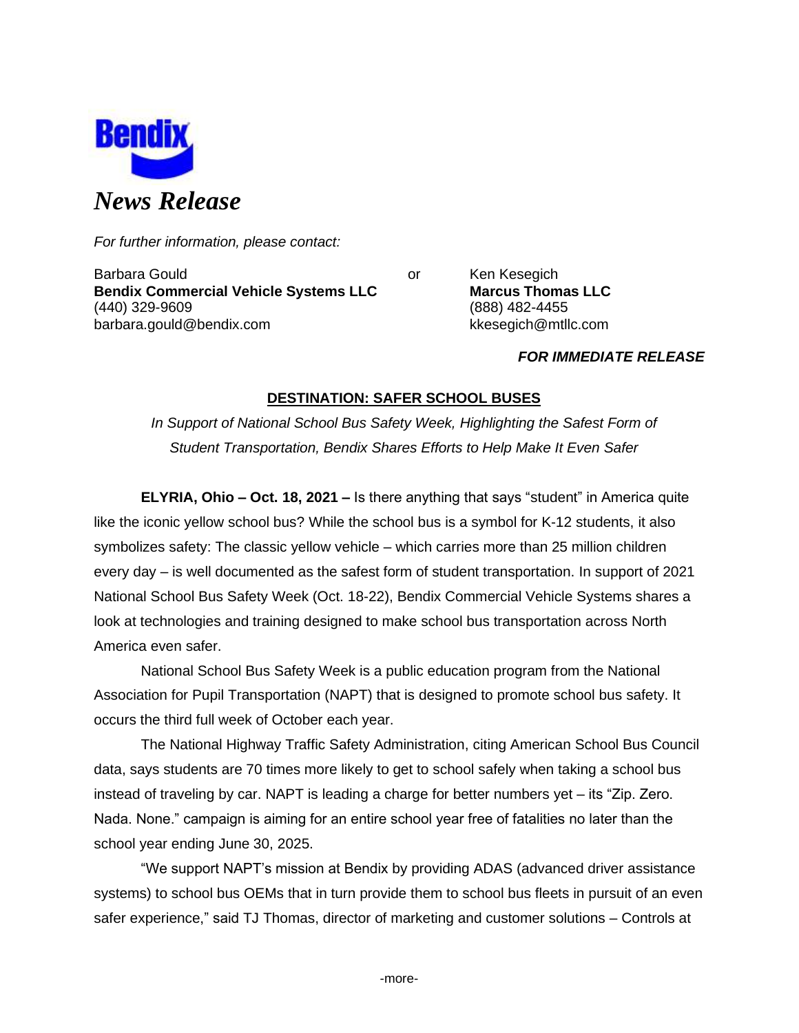

*For further information, please contact:*

Barbara Gould **Communist Communist Communist Communist Communist Communist Communist Communist Communist Communist Communist Communist Communist Communist Communist Communist Communist Communist Communist Communist Communi Bendix Commercial Vehicle Systems LLC Marcus Thomas LLC** (440) 329-9609 (888) 482-4455 barbara.gould@bendix.com kkesegich@mtllc.com

# *FOR IMMEDIATE RELEASE*

# **DESTINATION: SAFER SCHOOL BUSES**

*In Support of National School Bus Safety Week, Highlighting the Safest Form of Student Transportation, Bendix Shares Efforts to Help Make It Even Safer*

**ELYRIA, Ohio – Oct. 18, 2021 –** Is there anything that says "student" in America quite like the iconic yellow school bus? While the school bus is a symbol for K-12 students, it also symbolizes safety: The classic yellow vehicle – which carries more than 25 million children every day – is well documented as the safest form of student transportation. In support of 2021 National School Bus Safety Week (Oct. 18-22), Bendix Commercial Vehicle Systems shares a look at technologies and training designed to make school bus transportation across North America even safer.

National School Bus Safety Week is a public education program from the National Association for Pupil Transportation (NAPT) that is designed to promote school bus safety. It occurs the third full week of October each year.

The National Highway Traffic Safety Administration, citing American School Bus Council data, says students are 70 times more likely to get to school safely when taking a school bus instead of traveling by car. NAPT is leading a charge for better numbers yet – its "Zip. Zero. Nada. None." campaign is aiming for an entire school year free of fatalities no later than the school year ending June 30, 2025.

"We support NAPT's mission at Bendix by providing ADAS (advanced driver assistance systems) to school bus OEMs that in turn provide them to school bus fleets in pursuit of an even safer experience," said TJ Thomas, director of marketing and customer solutions – Controls at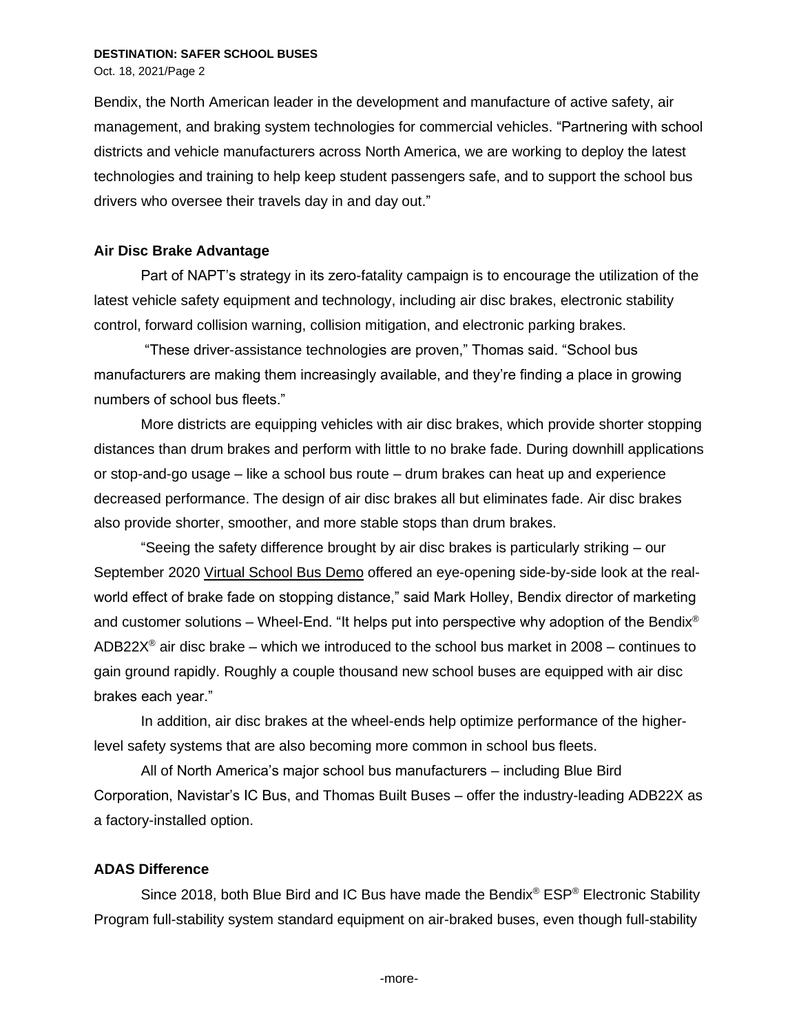Oct. 18, 2021/Page 2

Bendix, the North American leader in the development and manufacture of active safety, air management, and braking system technologies for commercial vehicles. "Partnering with school districts and vehicle manufacturers across North America, we are working to deploy the latest technologies and training to help keep student passengers safe, and to support the school bus drivers who oversee their travels day in and day out."

## **Air Disc Brake Advantage**

Part of NAPT's strategy in its zero-fatality campaign is to encourage the utilization of the latest vehicle safety equipment and technology, including air disc brakes, electronic stability control, forward collision warning, collision mitigation, and electronic parking brakes.

"These driver-assistance technologies are proven," Thomas said. "School bus manufacturers are making them increasingly available, and they're finding a place in growing numbers of school bus fleets."

More districts are equipping vehicles with air disc brakes, which provide shorter stopping distances than drum brakes and perform with little to no brake fade. During downhill applications or stop-and-go usage – like a school bus route – drum brakes can heat up and experience decreased performance. The design of air disc brakes all but eliminates fade. Air disc brakes also provide shorter, smoother, and more stable stops than drum brakes.

"Seeing the safety difference brought by air disc brakes is particularly striking – our September 2020 [Virtual School Bus Demo](https://youtu.be/zhmdPQvvw34?t=1185) offered an eye-opening side-by-side look at the realworld effect of brake fade on stopping distance," said Mark Holley, Bendix director of marketing and customer solutions – Wheel-End. "It helps put into perspective why adoption of the Bendix<sup>®</sup> ADB22 $X^{\circ}$  air disc brake – which we introduced to the school bus market in 2008 – continues to gain ground rapidly. Roughly a couple thousand new school buses are equipped with air disc brakes each year."

In addition, air disc brakes at the wheel-ends help optimize performance of the higherlevel safety systems that are also becoming more common in school bus fleets.

All of North America's major school bus manufacturers – including Blue Bird Corporation, Navistar's IC Bus, and Thomas Built Buses – offer the industry-leading ADB22X as a factory-installed option.

## **ADAS Difference**

Since 2018, both Blue Bird and IC Bus have made the Bendix® ESP® Electronic Stability Program full-stability system standard equipment on air-braked buses, even though full-stability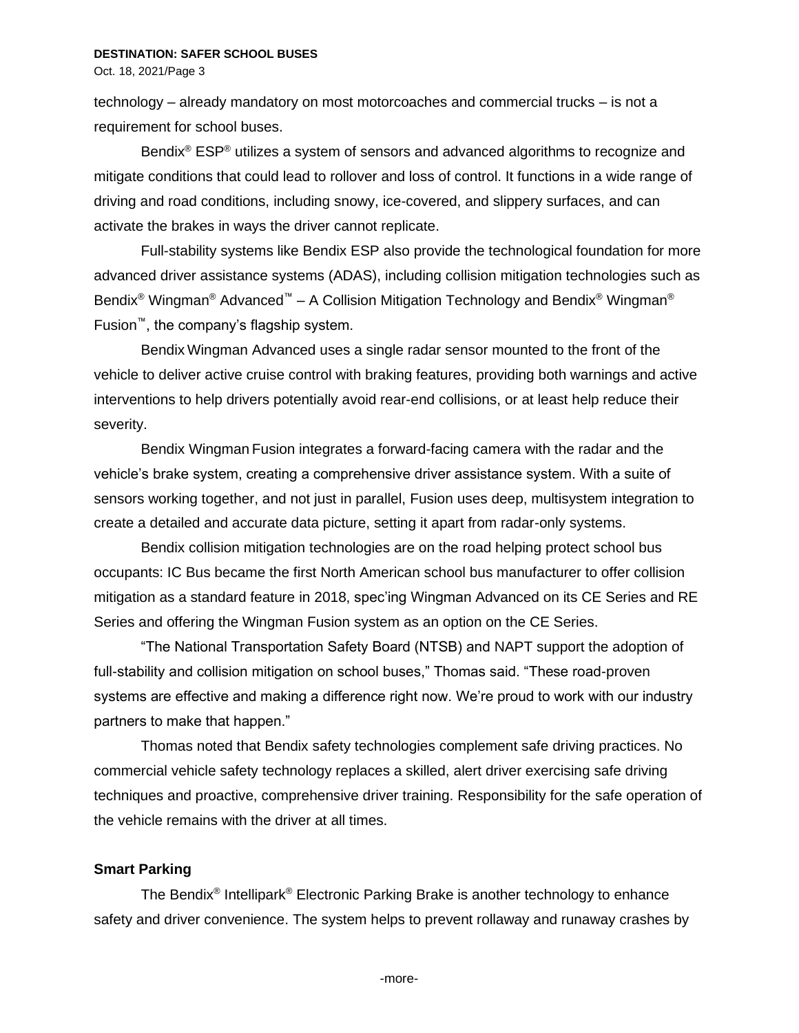Oct. 18, 2021/Page 3

technology – already mandatory on most motorcoaches and commercial trucks – is not a requirement for school buses.

Bendix<sup>®</sup> ESP<sup>®</sup> utilizes a system of sensors and advanced algorithms to recognize and mitigate conditions that could lead to rollover and loss of control. It functions in a wide range of driving and road conditions, including snowy, ice-covered, and slippery surfaces, and can activate the brakes in ways the driver cannot replicate.

Full-stability systems like Bendix ESP also provide the technological foundation for more advanced driver assistance systems (ADAS), including collision mitigation technologies such as Bendix<sup>®</sup> Wingman<sup>®</sup> Advanced<sup>™</sup> – A Collision Mitigation Technology and Bendix<sup>®</sup> Wingman<sup>®</sup> Fusion™, the company's flagship system.

Bendix Wingman Advanced uses a single radar sensor mounted to the front of the vehicle to deliver active cruise control with braking features, providing both warnings and active interventions to help drivers potentially avoid rear-end collisions, or at least help reduce their severity.

Bendix Wingman Fusion integrates a forward-facing camera with the radar and the vehicle's brake system, creating a comprehensive driver assistance system. With a suite of sensors working together, and not just in parallel, Fusion uses deep, multisystem integration to create a detailed and accurate data picture, setting it apart from radar-only systems.

Bendix collision mitigation technologies are on the road helping protect school bus occupants: IC Bus became the first North American school bus manufacturer to offer collision mitigation as a standard feature in 2018, spec'ing Wingman Advanced on its CE Series and RE Series and offering the Wingman Fusion system as an option on the CE Series.

"The National Transportation Safety Board (NTSB) and NAPT support the adoption of full-stability and collision mitigation on school buses," Thomas said. "These road-proven systems are effective and making a difference right now. We're proud to work with our industry partners to make that happen."

Thomas noted that Bendix safety technologies complement safe driving practices. No commercial vehicle safety technology replaces a skilled, alert driver exercising safe driving techniques and proactive, comprehensive driver training. Responsibility for the safe operation of the vehicle remains with the driver at all times.

## **Smart Parking**

The Bendix<sup>®</sup> Intellipark<sup>®</sup> Electronic Parking Brake is another technology to enhance safety and driver convenience. The system helps to prevent rollaway and runaway crashes by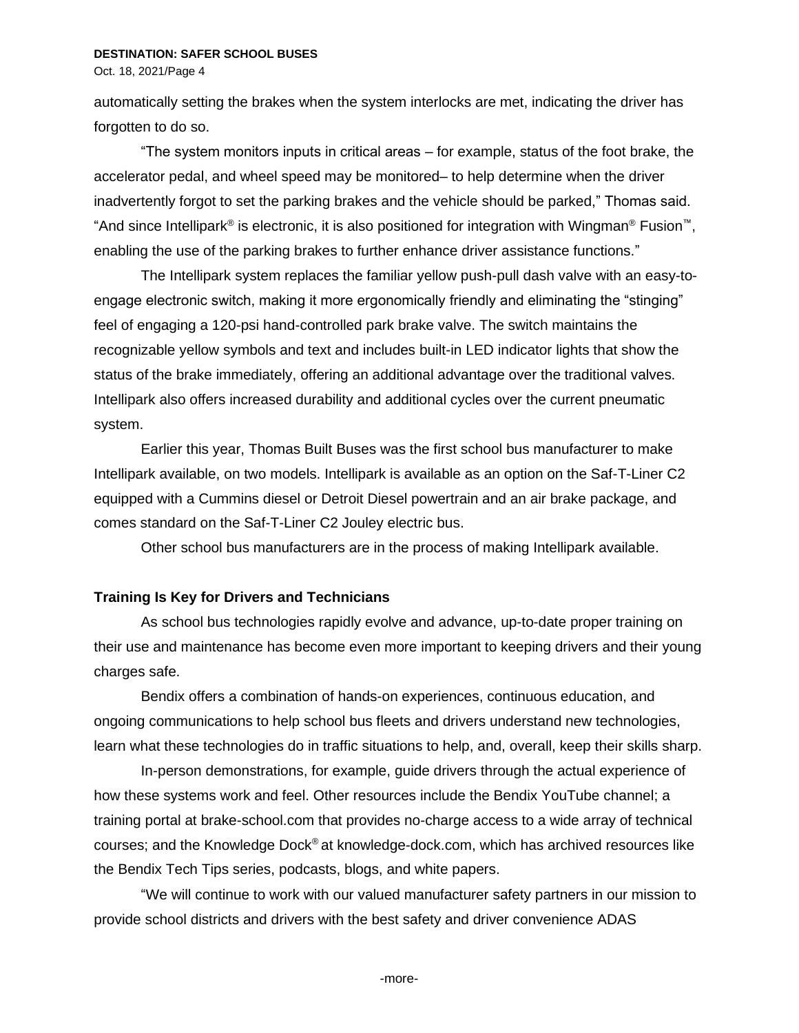Oct. 18, 2021/Page 4

automatically setting the brakes when the system interlocks are met, indicating the driver has forgotten to do so.

"The system monitors inputs in critical areas – for example, status of the foot brake, the accelerator pedal, and wheel speed may be monitored– to help determine when the driver inadvertently forgot to set the parking brakes and the vehicle should be parked," Thomas said. "And since Intellipark® is electronic, it is also positioned for integration with Wingman® Fusion™, enabling the use of the parking brakes to further enhance driver assistance functions."

The Intellipark system replaces the familiar yellow push-pull dash valve with an easy-toengage electronic switch, making it more ergonomically friendly and eliminating the "stinging" feel of engaging a 120-psi hand-controlled park brake valve. The switch maintains the recognizable yellow symbols and text and includes built-in LED indicator lights that show the status of the brake immediately, offering an additional advantage over the traditional valves. Intellipark also offers increased durability and additional cycles over the current pneumatic system.

Earlier this year, Thomas Built Buses was the first school bus manufacturer to make Intellipark available, on two models. Intellipark is available as an option on the Saf-T-Liner C2 equipped with a Cummins diesel or Detroit Diesel powertrain and an air brake package, and comes standard on the [Saf-T-Liner C2 Jouley electric bus.](https://thomasbuiltbuses.com/school-buses/saf-t-liner-c2-jouley/)

Other school bus manufacturers are in the process of making Intellipark available.

## **Training Is Key for Drivers and Technicians**

As school bus technologies rapidly evolve and advance, up-to-date proper training on their use and maintenance has become even more important to keeping drivers and their young charges safe.

Bendix offers a combination of hands-on experiences, continuous education, and ongoing communications to help school bus fleets and drivers understand new technologies, learn what these technologies do in traffic situations to help, and, overall, keep their skills sharp.

In-person demonstrations, for example, guide drivers through the actual experience of how these systems work and feel. Other resources include the Bendix YouTube channel; a training portal at brake-school.com that provides no-charge access to a wide array of technical courses; and the Knowledge Dock® at knowledge-dock.com, which has archived resources like the Bendix Tech Tips series, podcasts, blogs, and white papers.

"We will continue to work with our valued manufacturer safety partners in our mission to provide school districts and drivers with the best safety and driver convenience ADAS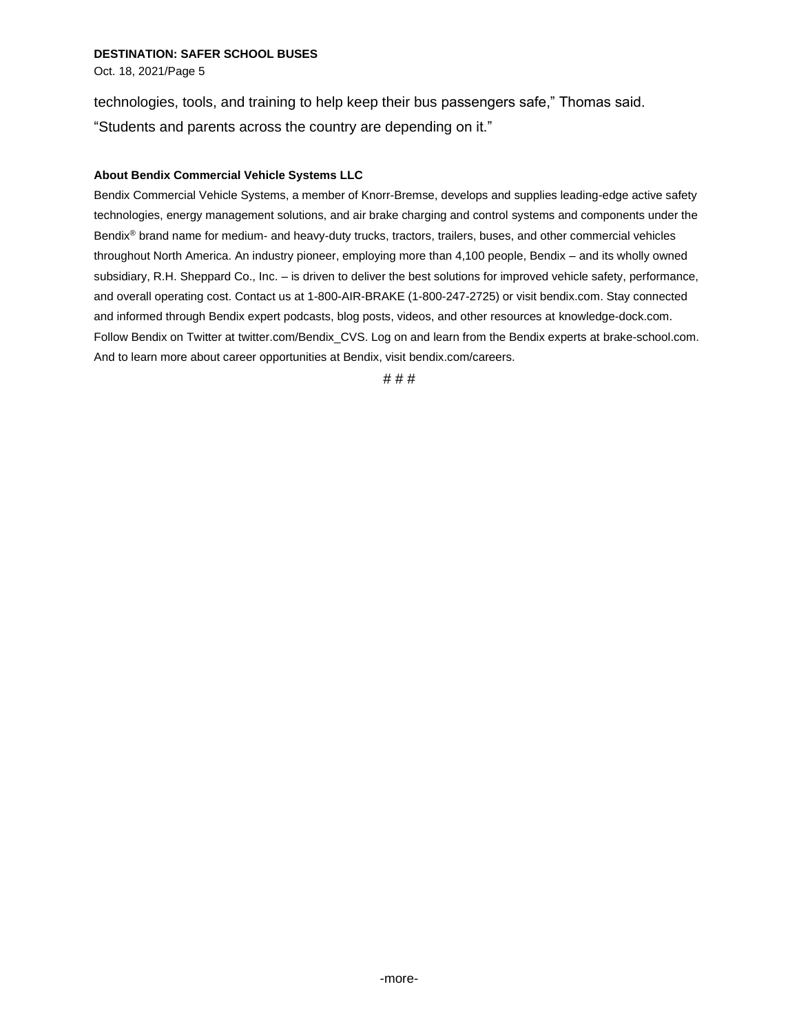Oct. 18, 2021/Page 5

technologies, tools, and training to help keep their bus passengers safe," Thomas said. "Students and parents across the country are depending on it."

### **About Bendix Commercial Vehicle Systems LLC**

Bendix Commercial Vehicle Systems, a member of Knorr-Bremse, develops and supplies leading-edge active safety technologies, energy management solutions, and air brake charging and control systems and components under the Bendix® brand name for medium- and heavy-duty trucks, tractors, trailers, buses, and other commercial vehicles throughout North America. An industry pioneer, employing more than 4,100 people, Bendix – and its wholly owned subsidiary, R.H. Sheppard Co., Inc. – is driven to deliver the best solutions for improved vehicle safety, performance, and overall operating cost. Contact us at 1-800-AIR-BRAKE (1-800-247-2725) or visi[t bendix.com.](http://www.bendix.com/) Stay connected and informed through Bendix expert podcasts, blog posts, videos, and other resources at [knowledge-dock.c](http://www.safertrucks.com/knowledge-dock)om. Follow Bendix on Twitter a[t twitter.com/Bendix\\_CVS.](http://twitter.com/Bendix_CVS) Log on and learn from the Bendix experts at [brake-school.com.](http://www.brake-school.com/) And to learn more about career opportunities at Bendix, visi[t bendix.com/careers.](http://www.bendix.com/careers)

# # #